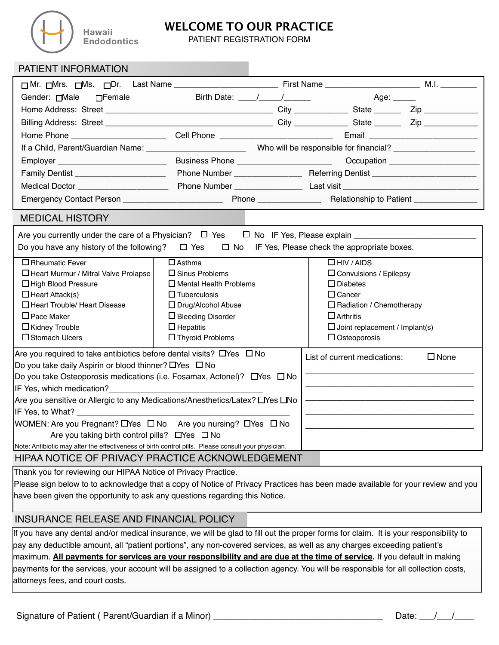

Hawaii **Endodontics** 

## **WELCOME TO OUR PRACTICE**

PATIENT REGISTRATION FORM

| PATIENT INFORMATION                                                                                                                      |                                          |                                                                                                                                                                                                                                                                                                                                 |                                       |                |
|------------------------------------------------------------------------------------------------------------------------------------------|------------------------------------------|---------------------------------------------------------------------------------------------------------------------------------------------------------------------------------------------------------------------------------------------------------------------------------------------------------------------------------|---------------------------------------|----------------|
|                                                                                                                                          |                                          |                                                                                                                                                                                                                                                                                                                                 |                                       |                |
| Gender: Male DFemale                                                                                                                     |                                          | Birth Date: $\frac{1}{1}$ $\frac{1}{1}$ $\frac{1}{1}$ $\frac{1}{1}$ $\frac{1}{1}$ $\frac{1}{1}$ $\frac{1}{1}$ $\frac{1}{1}$ $\frac{1}{1}$ $\frac{1}{1}$ $\frac{1}{1}$ $\frac{1}{1}$ $\frac{1}{1}$ $\frac{1}{1}$ $\frac{1}{1}$ $\frac{1}{1}$ $\frac{1}{1}$ $\frac{1}{1}$ $\frac{1}{1}$ $\frac{1}{1}$ $\frac{1}{1}$<br>Age: _____ |                                       |                |
|                                                                                                                                          |                                          |                                                                                                                                                                                                                                                                                                                                 |                                       |                |
|                                                                                                                                          |                                          |                                                                                                                                                                                                                                                                                                                                 |                                       |                |
|                                                                                                                                          |                                          |                                                                                                                                                                                                                                                                                                                                 |                                       |                |
|                                                                                                                                          |                                          |                                                                                                                                                                                                                                                                                                                                 |                                       |                |
| Employer __________________________                                                                                                      | Business Phone _________________________ |                                                                                                                                                                                                                                                                                                                                 | Occupation _______________________    |                |
| Family Dentist _______________________                                                                                                   |                                          |                                                                                                                                                                                                                                                                                                                                 |                                       |                |
| Medical Doctor ______________________                                                                                                    |                                          |                                                                                                                                                                                                                                                                                                                                 |                                       |                |
| Emergency Contact Person _________________________                                                                                       |                                          |                                                                                                                                                                                                                                                                                                                                 |                                       |                |
| <b>MEDICAL HISTORY</b>                                                                                                                   |                                          |                                                                                                                                                                                                                                                                                                                                 |                                       |                |
| Do you have any history of the following? $\Box$ Yes<br>IF Yes, Please check the appropriate boxes.<br>$\square$ No                      |                                          |                                                                                                                                                                                                                                                                                                                                 |                                       |                |
| $\square$ Rheumatic Fever                                                                                                                | $\Box$ Asthma                            |                                                                                                                                                                                                                                                                                                                                 | $\Box$ HIV / AIDS                     |                |
| □ Heart Murmur / Mitral Valve Prolapse                                                                                                   | $\square$ Sinus Problems                 |                                                                                                                                                                                                                                                                                                                                 | $\Box$ Convulsions / Epilepsy         |                |
| $\Box$ High Blood Pressure                                                                                                               | $\square$ Mental Health Problems         |                                                                                                                                                                                                                                                                                                                                 | $\square$ Diabetes                    |                |
| $\Box$ Heart Attack(s)                                                                                                                   | $\Box$ Tuberculosis                      |                                                                                                                                                                                                                                                                                                                                 | $\Box$ Cancer                         |                |
| □ Heart Trouble/ Heart Disease                                                                                                           | □ Drug/Alcohol Abuse                     |                                                                                                                                                                                                                                                                                                                                 | $\Box$ Radiation / Chemotherapy       |                |
| $\Box$ Pace Maker                                                                                                                        | $\Box$ Bleeding Disorder                 |                                                                                                                                                                                                                                                                                                                                 | $\Box$ Arthritis                      |                |
| $\Box$ Kidney Trouble                                                                                                                    | $\Box$ Hepatitis                         |                                                                                                                                                                                                                                                                                                                                 | $\Box$ Joint replacement / Implant(s) |                |
| $\square$ Stomach Ulcers                                                                                                                 | □ Thyroid Problems                       |                                                                                                                                                                                                                                                                                                                                 | $\Box$ Osteoporosis                   |                |
| Are you required to take antibiotics before dental visits? $\Box$ Yes $\Box$ No<br>Do you take daily Aspirin or blood thinner? □Yes □ No |                                          |                                                                                                                                                                                                                                                                                                                                 | List of current medications:          | $\square$ None |
| Do you take Osteoporosis medications (i.e. Fosamax, Actonel)? $\Box$ Yes $\Box$ No                                                       |                                          |                                                                                                                                                                                                                                                                                                                                 |                                       |                |
| IF Yes, which medication?                                                                                                                |                                          |                                                                                                                                                                                                                                                                                                                                 |                                       |                |
| Are you sensitive or Allergic to any Medications/Anesthetics/Latex? DYes DNo                                                             |                                          |                                                                                                                                                                                                                                                                                                                                 |                                       |                |
| IF Yes, to What?                                                                                                                         |                                          |                                                                                                                                                                                                                                                                                                                                 |                                       |                |
| WOMEN: Are you Pregnant? □Yes □ No Are you nursing? □Yes □ No                                                                            |                                          |                                                                                                                                                                                                                                                                                                                                 |                                       |                |
| Are you taking birth control pills? $\Box$ Yes $\Box$ No                                                                                 |                                          |                                                                                                                                                                                                                                                                                                                                 |                                       |                |
| Note: Antibiotic may alter the effectiveness of birth control pills. Please consult your physician.                                      |                                          |                                                                                                                                                                                                                                                                                                                                 |                                       |                |
| HIPAA NOTICE OF PRIVACY PRACTICE ACKNOWLEDGEMENT                                                                                         |                                          |                                                                                                                                                                                                                                                                                                                                 |                                       |                |

Thank you for reviewing our HIPAA Notice of Privacy Practice.

Please sign below to to acknowledge that a copy of Notice of Privacy Practices has been made available for your review and you have been given the opportunity to ask any questions regarding this Notice.

## INSURANCE RELEASE AND FINANCIAL POLICY

If you have any dental and/or medical insurance, we will be glad to fill out the proper forms for claim. It is your responsibility to pay any deductible amount, all "patient portions", any non-covered services, as well as any charges exceeding patient's maximum. **All payments for services are your responsibility and are due at the time of service.** If you default in making payments for the services, your account will be assigned to a collection agency. You will be responsible for all collection costs, attorneys fees, and court costs.